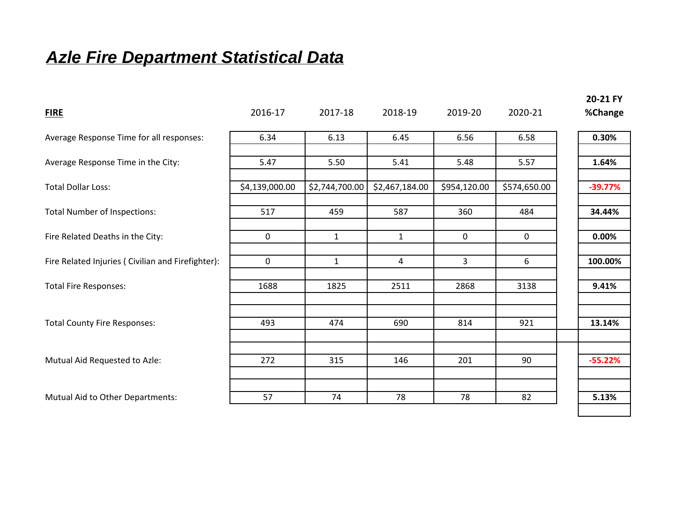## *Azle Fire Department Statistical Data*

| <b>FIRE</b>                                       | 2016-17        | 2017-18        | 2018-19        | 2019-20      | 2020-21      | ZU-ZI LI<br>%Change |
|---------------------------------------------------|----------------|----------------|----------------|--------------|--------------|---------------------|
| Average Response Time for all responses:          | 6.34           | 6.13           | 6.45           | 6.56         | 6.58         | 0.30%               |
| Average Response Time in the City:                | 5.47           | 5.50           | 5.41           | 5.48         | 5.57         | 1.64%               |
| <b>Total Dollar Loss:</b>                         | \$4,139,000.00 | \$2,744,700.00 | \$2,467,184.00 | \$954,120.00 | \$574,650.00 | $-39.77%$           |
| <b>Total Number of Inspections:</b>               | 517            | 459            | 587            | 360          | 484          | 34.44%              |
| Fire Related Deaths in the City:                  | 0              | $\mathbf{1}$   | $\mathbf{1}$   | $\mathbf 0$  | 0            | 0.00%               |
| Fire Related Injuries (Civilian and Firefighter): | $\mathbf 0$    | $\mathbf{1}$   | 4              | 3            | 6            | 100.00%             |
| <b>Total Fire Responses:</b>                      | 1688           | 1825           | 2511           | 2868         | 3138         | 9.41%               |
| <b>Total County Fire Responses:</b>               | 493            | 474            | 690            | 814          | 921          | 13.14%              |
|                                                   |                |                |                |              |              |                     |
| Mutual Aid Requested to Azle:                     | 272            | 315            | 146            | 201          | 90           | $-55.22%$           |
|                                                   |                |                |                |              |              |                     |
| Mutual Aid to Other Departments:                  | 57             | 74             | 78             | 78           | 82           | 5.13%               |

**20-21 FY**